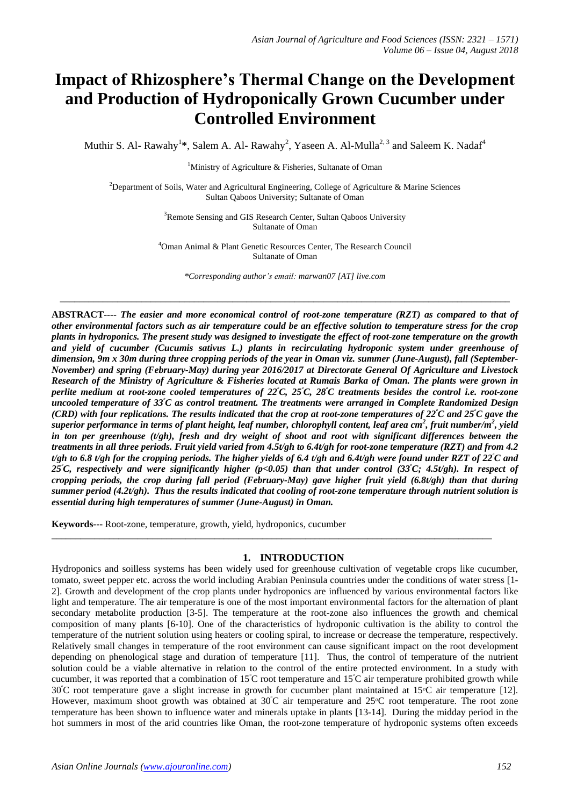# **Impact of Rhizosphere's Thermal Change on the Development and Production of Hydroponically Grown Cucumber under Controlled Environment**

Muthir S. Al- Rawahy<sup>1</sup>\*, Salem A. Al- Rawahy<sup>2</sup>, Yaseen A. Al-Mulla<sup>2, 3</sup> and Saleem K. Nadaf<sup>4</sup>

<sup>1</sup>Ministry of Agriculture & Fisheries, Sultanate of Oman

<sup>2</sup>Department of Soils, Water and Agricultural Engineering, College of Agriculture & Marine Sciences Sultan Qaboos University; Sultanate of Oman

> <sup>3</sup>Remote Sensing and GIS Research Center, Sultan Oaboos University Sultanate of Oman

<sup>4</sup>Oman Animal & Plant Genetic Resources Center, The Research Council Sultanate of Oman

*\*Corresponding author's email: marwan07 [AT] live.com*

 $\_$  ,  $\_$  ,  $\_$  ,  $\_$  ,  $\_$  ,  $\_$  ,  $\_$  ,  $\_$  ,  $\_$  ,  $\_$  ,  $\_$  ,  $\_$  ,  $\_$  ,  $\_$  ,  $\_$  ,  $\_$  ,  $\_$  ,  $\_$  ,  $\_$  ,  $\_$  ,  $\_$  ,  $\_$  ,  $\_$  ,  $\_$  ,  $\_$  ,  $\_$  ,  $\_$  ,  $\_$  ,  $\_$  ,  $\_$  ,  $\_$  ,  $\_$  ,  $\_$  ,  $\_$  ,  $\_$  ,  $\_$  ,  $\_$  ,

**ABSTRACT----** *The easier and more economical control of root-zone temperature (RZT) as compared to that of other environmental factors such as air temperature could be an effective solution to temperature stress for the crop plants in hydroponics. The present study was designed to investigate the effect of root-zone temperature on the growth and yield of cucumber (Cucumis sativus L.) plants in recirculating hydroponic system under greenhouse of dimension, 9m x 30m during three cropping periods of the year in Oman viz. summer (June-August), fall (September-November) and spring (February-May) during year 2016/2017 at Directorate General Of Agriculture and Livestock Research of the Ministry of Agriculture & Fisheries located at Rumais Barka of Oman. The plants were grown in perlite medium at root-zone cooled temperatures of 22<sup>ᵒ</sup>C, 25<sup>ᵒ</sup>C, 28<sup>ᵒ</sup>C treatments besides the control i.e. root-zone uncooled temperature of 33<sup>ᵒ</sup>C as control treatment. The treatments were arranged in Complete Randomized Design (CRD) with four replications. The results indicated that the crop at root-zone temperatures of 22<sup>ᵒ</sup>C and 25<sup>ᵒ</sup>C gave the superior performance in terms of plant height, leaf number, chlorophyll content, leaf area cm<sup>2</sup> , fruit number/m<sup>2</sup> , yield in ton per greenhouse (t/gh), fresh and dry weight of shoot and root with significant differences between the treatments in all three periods. Fruit yield varied from 4.5t/gh to 6.4t/gh for root-zone temperature (RZT) and from 4.2 t/gh to 6.8 t/gh for the cropping periods. The higher yields of 6.4 t/gh and 6.4t/gh were found under RZT of 22<sup>ᵒ</sup>C and 25<sup>ᵒ</sup>C, respectively and were significantly higher (p<0.05) than that under control (33<sup>ᵒ</sup>C; 4.5t/gh). In respect of cropping periods, the crop during fall period (February-May) gave higher fruit yield (6.8t/gh) than that during summer period (4.2t/gh). Thus the results indicated that cooling of root-zone temperature through nutrient solution is essential during high temperatures of summer (June-August) in Oman.* 

**Keywords**--- Root-zone, temperature, growth, yield, hydroponics, cucumber

## **1. INTRODUCTION**

\_\_\_\_\_\_\_\_\_\_\_\_\_\_\_\_\_\_\_\_\_\_\_\_\_\_\_\_\_\_\_\_\_\_\_\_\_\_\_\_\_\_\_\_\_\_\_\_\_\_\_\_\_\_\_\_\_\_\_\_\_\_\_\_\_\_\_\_\_\_\_\_\_\_\_\_\_\_\_\_\_\_\_\_\_\_\_\_\_\_\_\_

Hydroponics and soilless systems has been widely used for greenhouse cultivation of vegetable crops like cucumber, tomato, sweet pepper etc. across the world including Arabian Peninsula countries under the conditions of water stress [1- 2]. Growth and development of the crop plants under hydroponics are influenced by various environmental factors like light and temperature. The air temperature is one of the most important environmental factors for the alternation of plant secondary metabolite production [3-5]. The temperature at the root-zone also influences the growth and chemical composition of many plants [6-10]. One of the characteristics of hydroponic cultivation is the ability to control the temperature of the nutrient solution using heaters or cooling spiral, to increase or decrease the temperature, respectively. Relatively small changes in temperature of the root environment can cause significant impact on the root development depending on phenological stage and duration of temperature [11]. Thus, the control of temperature of the nutrient solution could be a viable alternative in relation to the control of the entire protected environment. In a study with cucumber, it was reported that a combination of  $15^{\circ}$ C root temperature and  $15^{\circ}$ C air temperature prohibited growth while  $30^{\circ}$ C root temperature gave a slight increase in growth for cucumber plant maintained at 15<sup>o</sup>C air temperature [12]. However, maximum shoot growth was obtained at  $30^{\circ}$ C air temperature and  $25^{\circ}$ C root temperature. The root zone temperature has been shown to influence water and minerals uptake in plants [13-14]. During the midday period in the hot summers in most of the arid countries like Oman, the root-zone temperature of hydroponic systems often exceeds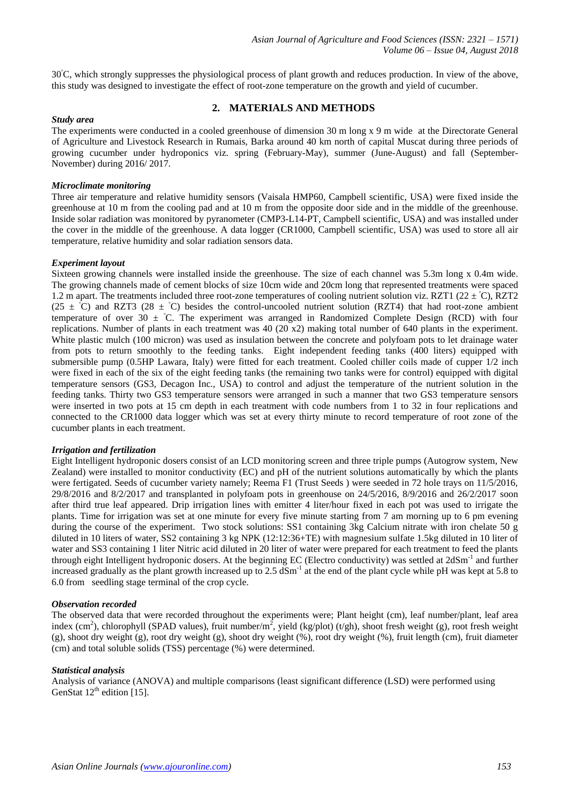30<sup>ᵒ</sup>C, which strongly suppresses the physiological process of plant growth and reduces production. In view of the above, this study was designed to investigate the effect of root-zone temperature on the growth and yield of cucumber.

# **2. MATERIALS AND METHODS**

# *Study area*

The experiments were conducted in a cooled greenhouse of dimension 30 m long x 9 m wide at the Directorate General of Agriculture and Livestock Research in Rumais, Barka around 40 km north of capital Muscat during three periods of growing cucumber under hydroponics viz. spring (February-May), summer (June-August) and fall (September-November) during 2016/ 2017.

## *Microclimate monitoring*

Three air temperature and relative humidity sensors (Vaisala HMP60, Campbell scientific, USA) were fixed inside the greenhouse at 10 m from the cooling pad and at 10 m from the opposite door side and in the middle of the greenhouse. Inside solar radiation was monitored by pyranometer (CMP3-L14-PT, Campbell scientific, USA) and was installed under the cover in the middle of the greenhouse. A data logger (CR1000, Campbell scientific, USA) was used to store all air temperature, relative humidity and solar radiation sensors data.

#### *Experiment layout*

Sixteen growing channels were installed inside the greenhouse. The size of each channel was 5.3m long x 0.4m wide. The growing channels made of cement blocks of size 10cm wide and 20cm long that represented treatments were spaced 1.2 m apart. The treatments included three root-zone temperatures of cooling nutrient solution viz. RZT1 (22  $\pm$  °C), RZT2 (25  $\pm$  °C) and RZT3 (28  $\pm$  °C) besides the control-uncooled nutrient solution (RZT4) that had root-zone ambient temperature of over 30  $\pm$  °C. The experiment was arranged in Randomized Complete Design (RCD) with four replications. Number of plants in each treatment was 40 (20 x2) making total number of 640 plants in the experiment. White plastic mulch (100 micron) was used as insulation between the concrete and polyfoam pots to let drainage water from pots to return smoothly to the feeding tanks. Eight independent feeding tanks (400 liters) equipped with submersible pump (0.5HP Lawara, Italy) were fitted for each treatment. Cooled chiller coils made of cupper 1/2 inch were fixed in each of the six of the eight feeding tanks (the remaining two tanks were for control) equipped with digital temperature sensors (GS3, Decagon Inc., USA) to control and adjust the temperature of the nutrient solution in the feeding tanks. Thirty two GS3 temperature sensors were arranged in such a manner that two GS3 temperature sensors were inserted in two pots at 15 cm depth in each treatment with code numbers from 1 to 32 in four replications and connected to the CR1000 data logger which was set at every thirty minute to record temperature of root zone of the cucumber plants in each treatment.

## *Irrigation and fertilization*

Eight Intelligent hydroponic dosers consist of an LCD monitoring screen and three triple pumps (Autogrow system, New Zealand) were installed to monitor conductivity (EC) and pH of the nutrient solutions automatically by which the plants were fertigated. Seeds of cucumber variety namely; Reema F1 (Trust Seeds) were seeded in 72 hole trays on 11/5/2016, 29/8/2016 and 8/2/2017 and transplanted in polyfoam pots in greenhouse on 24/5/2016, 8/9/2016 and 26/2/2017 soon after third true leaf appeared. Drip irrigation lines with emitter 4 liter/hour fixed in each pot was used to irrigate the plants. Time for irrigation was set at one minute for every five minute starting from 7 am morning up to 6 pm evening during the course of the experiment. Two stock solutions: SS1 containing 3kg Calcium nitrate with iron chelate 50 g diluted in 10 liters of water, SS2 containing 3 kg NPK (12:12:36+TE) with magnesium sulfate 1.5kg diluted in 10 liter of water and SS3 containing 1 liter Nitric acid diluted in 20 liter of water were prepared for each treatment to feed the plants through eight Intelligent hydroponic dosers. At the beginning EC (Electro conductivity) was settled at 2dSm<sup>-1</sup> and further increased gradually as the plant growth increased up to  $2.5$  dSm<sup>-1</sup> at the end of the plant cycle while pH was kept at 5.8 to 6.0 from seedling stage terminal of the crop cycle.

## *Observation recorded*

The observed data that were recorded throughout the experiments were; Plant height (cm), leaf number/plant, leaf area index (cm<sup>2</sup>), chlorophyll (SPAD values), fruit number/m<sup>2</sup>, yield (kg/plot) (t/gh), shoot fresh weight (g), root fresh weight (g), shoot dry weight (g), root dry weight (g), shoot dry weight (%), root dry weight (%), fruit length (cm), fruit diameter (cm) and total soluble solids (TSS) percentage (%) were determined.

#### *Statistical analysis*

Analysis of variance (ANOVA) and multiple comparisons (least significant difference (LSD) were performed using GenStat  $12^{th}$  edition [15].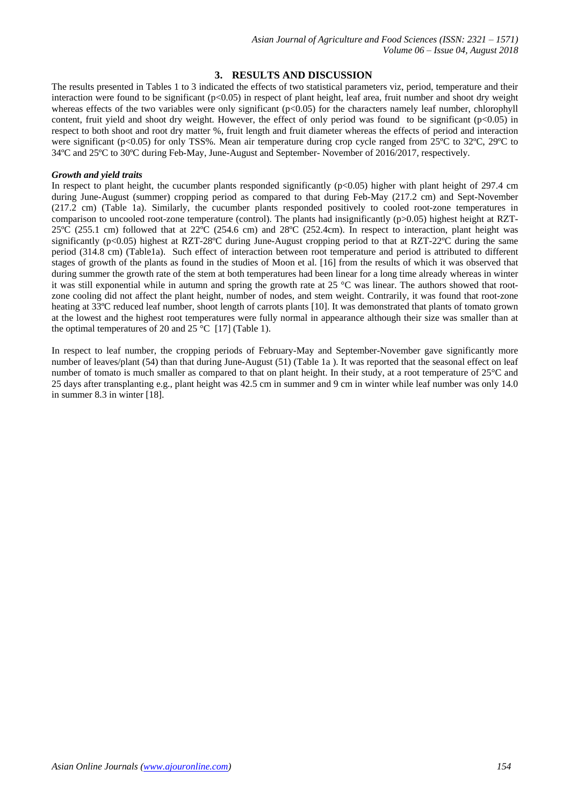# **3. RESULTS AND DISCUSSION**

The results presented in Tables 1 to 3 indicated the effects of two statistical parameters viz, period, temperature and their interaction were found to be significant (p<0.05) in respect of plant height, leaf area, fruit number and shoot dry weight whereas effects of the two variables were only significant (p<0.05) for the characters namely leaf number, chlorophyll content, fruit yield and shoot dry weight. However, the effect of only period was found to be significant (p<0.05) in respect to both shoot and root dry matter %, fruit length and fruit diameter whereas the effects of period and interaction were significant (p<0.05) for only TSS%. Mean air temperature during crop cycle ranged from 25°C to 32°C, 29°C to 34ºC and 25ºC to 30ºC during Feb-May, June-August and September- November of 2016/2017, respectively.

### *Growth and yield traits*

In respect to plant height, the cucumber plants responded significantly  $(p<0.05)$  higher with plant height of 297.4 cm during June-August (summer) cropping period as compared to that during Feb-May (217.2 cm) and Sept-November (217.2 cm) (Table 1a). Similarly, the cucumber plants responded positively to cooled root-zone temperatures in comparison to uncooled root-zone temperature (control). The plants had insignificantly (p>0.05) highest height at RZT-25ºC (255.1 cm) followed that at 22ºC (254.6 cm) and 28ºC (252.4cm). In respect to interaction, plant height was significantly (p<0.05) highest at RZT-28°C during June-August cropping period to that at RZT-22°C during the same period (314.8 cm) (Table1a). Such effect of interaction between root temperature and period is attributed to different stages of growth of the plants as found in the studies of Moon et al. [16] from the results of which it was observed that during summer the growth rate of the stem at both temperatures had been linear for a long time already whereas in winter it was still exponential while in autumn and spring the growth rate at 25 °C was linear. The authors showed that rootzone cooling did not affect the plant height, number of nodes, and stem weight. Contrarily, it was found that root-zone heating at 33ºC reduced leaf number, shoot length of carrots plants [10]. It was demonstrated that plants of tomato grown at the lowest and the highest root temperatures were fully normal in appearance although their size was smaller than at the optimal temperatures of 20 and 25 °C [17] (Table 1).

In respect to leaf number, the cropping periods of February-May and September-November gave significantly more number of leaves/plant (54) than that during June-August (51) (Table 1a). It was reported that the seasonal effect on leaf number of tomato is much smaller as compared to that on plant height. In their study, at a root temperature of 25°C and 25 days after transplanting e.g., plant height was 42.5 cm in summer and 9 cm in winter while leaf number was only 14.0 in summer 8.3 in winter [18].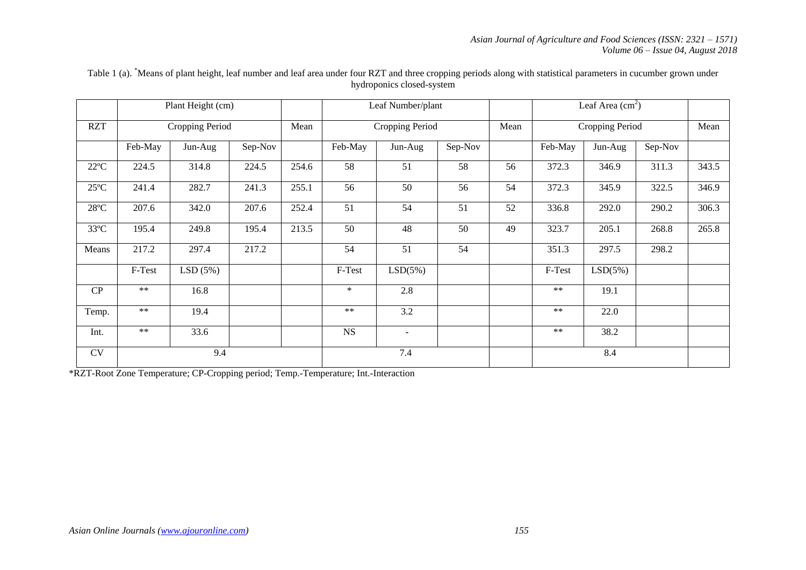|                |            | Plant Height (cm) |         |       |         | Leaf Number/plant |         |      | Leaf Area $(cm2)$ |         |         |       |
|----------------|------------|-------------------|---------|-------|---------|-------------------|---------|------|-------------------|---------|---------|-------|
| <b>RZT</b>     |            | Cropping Period   |         | Mean  |         | Cropping Period   |         | Mean | Cropping Period   |         |         | Mean  |
|                | Feb-May    | Jun-Aug           | Sep-Nov |       | Feb-May | Jun-Aug           | Sep-Nov |      | Feb-May           | Jun-Aug | Sep-Nov |       |
| $22^{\circ}C$  | 224.5      | 314.8             | 224.5   | 254.6 | 58      | 51                | 58      | 56   | 372.3             | 346.9   | 311.3   | 343.5 |
| $25^{\circ}$ C | 241.4      | 282.7             | 241.3   | 255.1 | 56      | 50                | 56      | 54   | 372.3             | 345.9   | 322.5   | 346.9 |
| $28^{\circ}C$  | 207.6      | 342.0             | 207.6   | 252.4 | 51      | 54                | 51      | 52   | 336.8             | 292.0   | 290.2   | 306.3 |
| $33^{\circ}C$  | 195.4      | 249.8             | 195.4   | 213.5 | 50      | 48                | 50      | 49   | 323.7             | 205.1   | 268.8   | 265.8 |
| Means          | 217.2      | 297.4             | 217.2   |       | 54      | 51                | 54      |      | 351.3             | 297.5   | 298.2   |       |
|                | F-Test     | LSD(5%)           |         |       | F-Test  | LSD(5%)           |         |      | F-Test            | LSD(5%) |         |       |
| CP             | $***$      | 16.8              |         |       | $\ast$  | 2.8               |         |      | $***$             | 19.1    |         |       |
| Temp.          | $\ast\ast$ | 19.4              |         |       | $***$   | 3.2               |         |      | $***$             | 22.0    |         |       |
| Int.           | $***$      | 33.6              |         |       | NS      | $\sim$            |         |      | $\ast\ast$        | 38.2    |         |       |
| <b>CV</b>      |            | 9.4               |         |       |         | 7.4               |         |      |                   | 8.4     |         |       |

Table 1 (a). <sup>\*</sup>Means of plant height, leaf number and leaf area under four RZT and three cropping periods along with statistical parameters in cucumber grown under hydroponics closed-system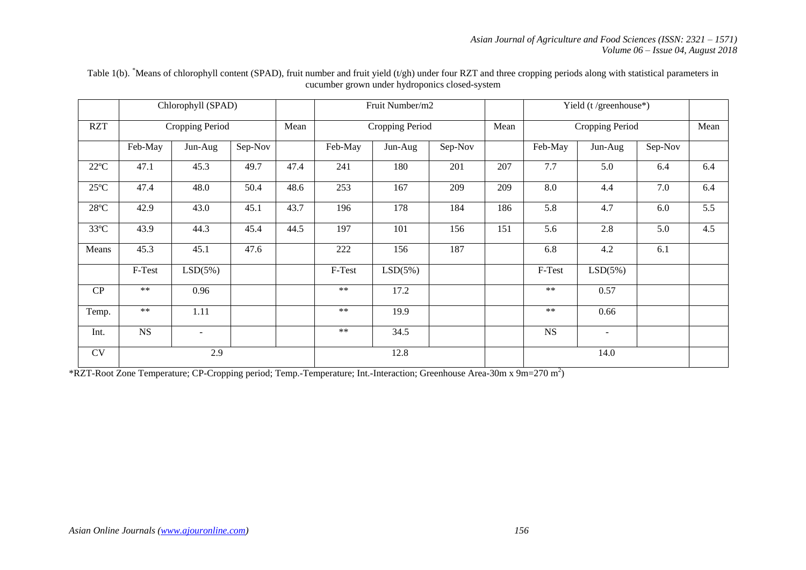|               |           | Chlorophyll (SPAD)       |         |      |            | Fruit Number/m2 |         |      |             | Yield (t/greenhouse*) |         |     |  |
|---------------|-----------|--------------------------|---------|------|------------|-----------------|---------|------|-------------|-----------------------|---------|-----|--|
| <b>RZT</b>    |           | Cropping Period          |         | Mean |            | Cropping Period |         | Mean |             | Cropping Period       |         |     |  |
|               | Feb-May   | Jun-Aug                  | Sep-Nov |      | Feb-May    | Jun-Aug         | Sep-Nov |      | Feb-May     | Jun-Aug               | Sep-Nov |     |  |
| $22^{\circ}C$ | 47.1      | 45.3                     | 49.7    | 47.4 | 241        | 180             | 201     | 207  | 7.7         | 5.0                   | 6.4     | 6.4 |  |
| $25^{\circ}C$ | 47.4      | 48.0                     | 50.4    | 48.6 | 253        | 167             | 209     | 209  | 8.0         | 4.4                   | 7.0     | 6.4 |  |
| $28^{\circ}C$ | 42.9      | 43.0                     | 45.1    | 43.7 | 196        | 178             | 184     | 186  | 5.8         | 4.7                   | $6.0\,$ | 5.5 |  |
| $33^{\circ}C$ | 43.9      | 44.3                     | 45.4    | 44.5 | 197        | 101             | 156     | 151  | 5.6         | 2.8                   | 5.0     | 4.5 |  |
| Means         | 45.3      | 45.1                     | 47.6    |      | 222        | 156             | 187     |      | 6.8         | 4.2                   | 6.1     |     |  |
|               | F-Test    | LSD(5%)                  |         |      | F-Test     | LSD(5%)         |         |      | F-Test      | LSD(5%)               |         |     |  |
| CP            | $**$      | 0.96                     |         |      | $***$      | 17.2            |         |      | $**$        | 0.57                  |         |     |  |
| Temp.         | $**$      | 1.11                     |         |      | $***$      | 19.9            |         |      | $**$        | 0.66                  |         |     |  |
| Int.          | <b>NS</b> | $\overline{\phantom{a}}$ |         |      | $\ast\ast$ | 34.5            |         |      | $_{\rm NS}$ | $\sim$                |         |     |  |
| CV            |           | 2.9                      |         |      |            | 12.8            |         |      |             | 14.0                  |         |     |  |

Table 1(b). \*Means of chlorophyll content (SPAD), fruit number and fruit yield (t/gh) under four RZT and three cropping periods along with statistical parameters in cucumber grown under hydroponics closed-system

\*RZT-Root Zone Temperature; CP-Cropping period; Temp.-Temperature; Int.-Interaction; Greenhouse Area-30m x 9m=270 m<sup>2</sup> )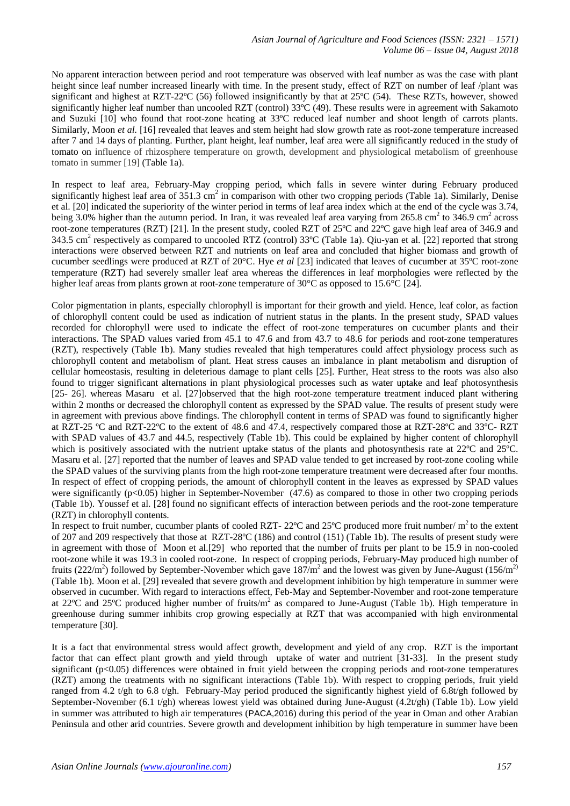No apparent interaction between period and root temperature was observed with leaf number as was the case with plant height since leaf number increased linearly with time. In the present study, effect of RZT on number of leaf /plant was significant and highest at RZT-22ºC (56) followed insignificantly by that at 25ºC (54). These RZTs, however, showed significantly higher leaf number than uncooled RZT (control) 33ºC (49). These results were in agreement with Sakamoto and Suzuki [10] who found that root-zone heating at 33ºC reduced leaf number and shoot length of carrots plants. Similarly, Moon *et al.* [16] revealed that leaves and stem height had slow growth rate as root-zone temperature increased after 7 and 14 days of planting. Further, plant height, leaf number, leaf area were all significantly reduced in the study of tomato on influence of rhizosphere temperature on growth, development and physiological metabolism of greenhouse tomato in summer [19] (Table 1a).

In respect to leaf area, February-May cropping period, which falls in severe winter during February produced significantly highest leaf area of  $351.3 \text{ cm}^2$  in comparison with other two cropping periods (Table 1a). Similarly, Denise et al. [20] indicated the superiority of the winter period in terms of leaf area index which at the end of the cycle was 3.74, being 3.0% higher than the autumn period. In Iran, it was revealed leaf area varying from 265.8 cm<sup>2</sup> to 346.9 cm<sup>2</sup> across root-zone temperatures (RZT) [21]. In the present study, cooled RZT of 25ºC and 22ºC gave high leaf area of 346.9 and 343.5 cm<sup>2</sup> respectively as compared to uncooled RTZ (control) 33°C (Table 1a). Qiu-yan et al. [22] reported that strong interactions were observed between RZT and nutrients on leaf area and concluded that higher biomass and growth of cucumber seedlings were produced at RZT of 20°C. Hye *et al* [23] indicated that leaves of cucumber at 35ºC root-zone temperature (RZT) had severely smaller leaf area whereas the differences in leaf morphologies were reflected by the higher leaf areas from plants grown at root-zone temperature of 30°C as opposed to 15.6°C [24].

Color pigmentation in plants, especially chlorophyll is important for their growth and yield. Hence, leaf color, as faction of chlorophyll content could be used as indication of nutrient status in the plants. In the present study, SPAD values recorded for chlorophyll were used to indicate the effect of root-zone temperatures on cucumber plants and their interactions. The SPAD values varied from 45.1 to 47.6 and from 43.7 to 48.6 for periods and root-zone temperatures (RZT), respectively (Table 1b). Many studies revealed that high temperatures could affect physiology process such as chlorophyll content and metabolism of plant. Heat stress causes an imbalance in plant metabolism and disruption of cellular homeostasis, resulting in deleterious damage to plant cells [25]. Further, Heat stress to the roots was also also found to trigger significant alternations in plant physiological processes such as water uptake and leaf photosynthesis [25- 26]. whereas Masaru et al. [27]observed that the high root-zone temperature treatment induced plant withering within 2 months or decreased the chlorophyll content as expressed by the SPAD value. The results of present study were in agreement with previous above findings. The chlorophyll content in terms of SPAD was found to significantly higher at RZT-25 ºC and RZT-22ºC to the extent of 48.6 and 47.4, respectively compared those at RZT-28ºC and 33ºC- RZT with SPAD values of 43.7 and 44.5, respectively (Table 1b). This could be explained by higher content of chlorophyll which is positively associated with the nutrient uptake status of the plants and photosynthesis rate at 22 °C and 25 °C. Masaru et al. [27] reported that the number of leaves and SPAD value tended to get increased by root-zone cooling while the SPAD values of the surviving plants from the high root-zone temperature treatment were decreased after four months. In respect of effect of cropping periods, the amount of chlorophyll content in the leaves as expressed by SPAD values were significantly  $(p<0.05)$  higher in September-November  $(47.6)$  as compared to those in other two cropping periods (Table 1b). Youssef et al. [28] found no significant effects of interaction between periods and the root-zone temperature (RZT) in chlorophyll contents.

In respect to fruit number, cucumber plants of cooled RZT-  $22^{\circ}$ C and  $25^{\circ}$ C produced more fruit number/ m<sup>2</sup> to the extent of 207 and 209 respectively that those at RZT-28ºC (186) and control (151) (Table 1b). The results of present study were in agreement with those of Moon et al.[29] who reported that the number of fruits per plant to be 15.9 in non-cooled root-zone while it was 19.3 in cooled root-zone. In respect of cropping periods, February-May produced high number of fruits (222/m<sup>2</sup>) followed by September-November which gave  $187/m^2$  and the lowest was given by June-August (156/m<sup>2)</sup> (Table 1b). Moon et al. [29] revealed that severe growth and development inhibition by high temperature in summer were observed in cucumber. With regard to interactions effect, Feb-May and September-November and root-zone temperature at 22 $^{\circ}$ C and 25 $^{\circ}$ C produced higher number of fruits/m<sup>2</sup> as compared to June-August (Table 1b). High temperature in greenhouse during summer inhibits crop growing especially at RZT that was accompanied with high environmental temperature [30].

It is a fact that environmental stress would affect growth, development and yield of any crop. RZT is the important factor that can effect plant growth and yield through uptake of water and nutrient [31-33]. In the present study significant (p<0.05) differences were obtained in fruit yield between the cropping periods and root-zone temperatures (RZT) among the treatments with no significant interactions (Table 1b). With respect to cropping periods, fruit yield ranged from 4.2 t/gh to 6.8 t/gh. February-May period produced the significantly highest yield of 6.8t/gh followed by September-November (6.1 t/gh) whereas lowest yield was obtained during June-August (4.2t/gh) (Table 1b). Low yield in summer was attributed to high air temperatures (PACA,2016) during this period of the year in Oman and other Arabian Peninsula and other arid countries. Severe growth and development inhibition by high temperature in summer have been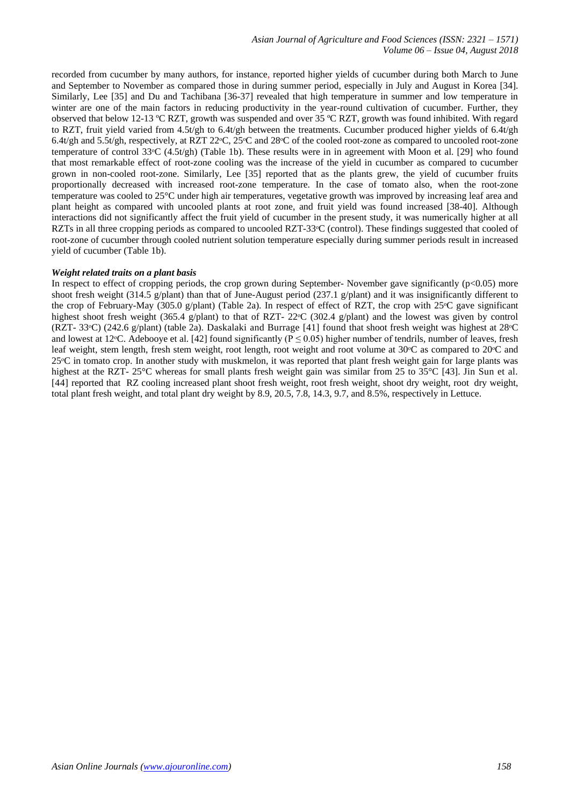recorded from cucumber by many authors, for instance, reported higher yields of cucumber during both March to June and September to November as compared those in during summer period, especially in July and August in Korea [34]. Similarly, Lee [35] and Du and Tachibana [36-37] revealed that high temperature in summer and low temperature in winter are one of the main factors in reducing productivity in the year-round cultivation of cucumber. Further, they observed that below 12-13 ºC RZT, growth was suspended and over 35 ºC RZT, growth was found inhibited. With regard to RZT, fruit yield varied from 4.5t/gh to 6.4t/gh between the treatments. Cucumber produced higher yields of 6.4t/gh 6.4t/gh and 5.5t/gh, respectively, at RZT 22<sup>o</sup>C, 25<sup>o</sup>C and 28<sup>o</sup>C of the cooled root-zone as compared to uncooled root-zone temperature of control 33<sup>o</sup>C (4.5t/gh) (Table 1b). These results were in in agreement with Moon et al. [29] who found that most remarkable effect of root-zone cooling was the increase of the yield in cucumber as compared to cucumber grown in non-cooled root-zone. Similarly, Lee [35] reported that as the plants grew, the yield of cucumber fruits proportionally decreased with increased root-zone temperature. In the case of tomato also, when the root-zone temperature was cooled to 25°C under high air temperatures, vegetative growth was improved by increasing leaf area and plant height as compared with uncooled plants at root zone, and fruit yield was found increased [38-40]. Although interactions did not significantly affect the fruit yield of cucumber in the present study, it was numerically higher at all RZTs in all three cropping periods as compared to uncooled RZT-33<sup>o</sup>C (control). These findings suggested that cooled of root-zone of cucumber through cooled nutrient solution temperature especially during summer periods result in increased yield of cucumber (Table 1b).

#### *Weight related traits on a plant basis*

In respect to effect of cropping periods, the crop grown during September- November gave significantly  $(p<0.05)$  more shoot fresh weight (314.5 g/plant) than that of June-August period (237.1 g/plant) and it was insignificantly different to the crop of February-May (305.0 g/plant) (Table 2a). In respect of effect of RZT, the crop with  $25^{\circ}$ C gave significant highest shoot fresh weight (365.4 g/plant) to that of RZT-  $22^{\circ}C$  (302.4 g/plant) and the lowest was given by control (RZT- 33ᵒC) (242.6 g/plant) (table 2a). Daskalaki and Burrage [41] found that shoot fresh weight was highest at 28ᵒC and lowest at 12 °C. Adebooye et al. [42] found significantly ( $P \le 0.05$ ) higher number of tendrils, number of leaves, fresh leaf weight, stem length, fresh stem weight, root length, root weight and root volume at 30°C as compared to 20°C and 25<sup>o</sup>C in tomato crop. In another study with muskmelon, it was reported that plant fresh weight gain for large plants was highest at the RZT- 25°C whereas for small plants fresh weight gain was similar from 25 to 35°C [43]. Jin Sun et al. [44] reported that RZ cooling increased plant shoot fresh weight, root fresh weight, shoot dry weight, root dry weight, total plant fresh weight, and total plant dry weight by 8.9, 20.5, 7.8, 14.3, 9.7, and 8.5%, respectively in Lettuce.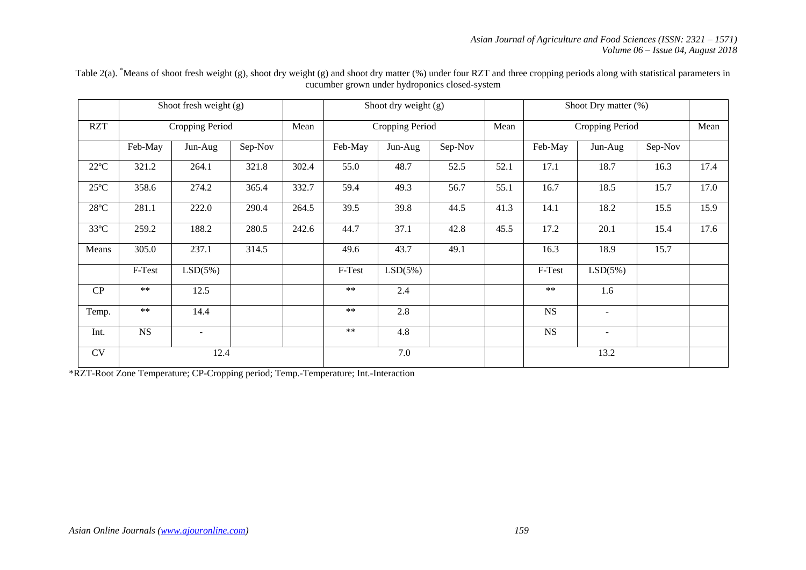|                |            | Shoot fresh weight (g)   |         |       |         | Shoot dry weight (g) |         |      | Shoot Dry matter (%) |                |         |      |
|----------------|------------|--------------------------|---------|-------|---------|----------------------|---------|------|----------------------|----------------|---------|------|
| <b>RZT</b>     |            | Cropping Period          |         | Mean  |         | Cropping Period      |         | Mean | Cropping Period      |                |         | Mean |
|                | Feb-May    | Jun-Aug                  | Sep-Nov |       | Feb-May | Jun-Aug              | Sep-Nov |      | Feb-May              | Jun-Aug        | Sep-Nov |      |
| $22^{\circ}C$  | 321.2      | 264.1                    | 321.8   | 302.4 | 55.0    | 48.7                 | 52.5    | 52.1 | 17.1                 | 18.7           | 16.3    | 17.4 |
| $25^{\circ}$ C | 358.6      | 274.2                    | 365.4   | 332.7 | 59.4    | 49.3                 | 56.7    | 55.1 | 16.7                 | 18.5           | 15.7    | 17.0 |
| $28^{\circ}C$  | 281.1      | 222.0                    | 290.4   | 264.5 | 39.5    | 39.8                 | 44.5    | 41.3 | 14.1                 | 18.2           | 15.5    | 15.9 |
| $33^{\circ}C$  | 259.2      | 188.2                    | 280.5   | 242.6 | 44.7    | 37.1                 | 42.8    | 45.5 | 17.2                 | 20.1           | 15.4    | 17.6 |
| Means          | 305.0      | 237.1                    | 314.5   |       | 49.6    | 43.7                 | 49.1    |      | 16.3                 | 18.9           | 15.7    |      |
|                | F-Test     | LSD(5%)                  |         |       | F-Test  | LSD(5%)              |         |      | F-Test               | LSD(5%)        |         |      |
| CP             | $**$       | 12.5                     |         |       | $***$   | 2.4                  |         |      | $***$                | 1.6            |         |      |
| Temp.          | $\ast\ast$ | 14.4                     |         |       | $***$   | 2.8                  |         |      | <b>NS</b>            | $\blacksquare$ |         |      |
| Int.           | <b>NS</b>  | $\overline{\phantom{a}}$ |         |       | $**$    | 4.8                  |         |      | <b>NS</b>            | $\sim$         |         |      |
| CV             |            | 12.4                     |         |       |         | 7.0                  |         |      |                      | 13.2           |         |      |

Table 2(a). <sup>\*</sup>Means of shoot fresh weight (g), shoot dry weight (g) and shoot dry matter (%) under four RZT and three cropping periods along with statistical parameters in cucumber grown under hydroponics closed-system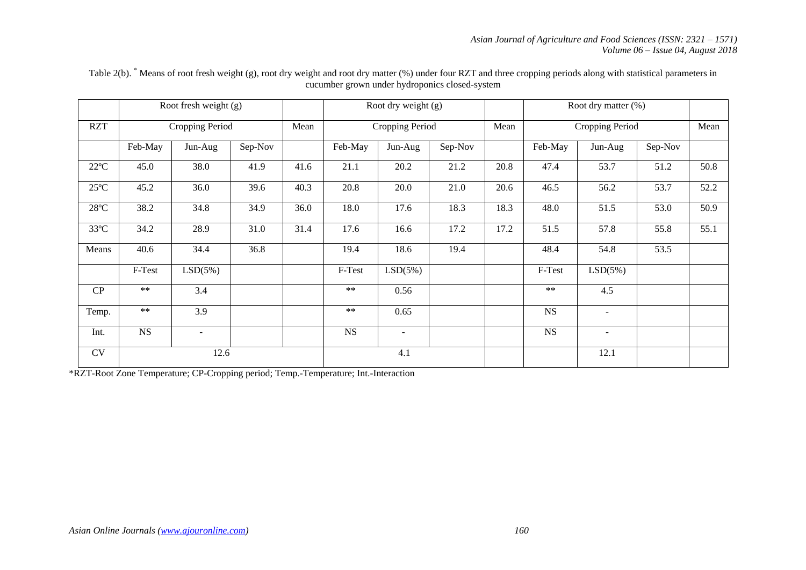|                |            | Root fresh weight (g) |         |      |            | Root dry weight (g)      |         |      |           |                 |                                                                                                                                                                                   |      |
|----------------|------------|-----------------------|---------|------|------------|--------------------------|---------|------|-----------|-----------------|-----------------------------------------------------------------------------------------------------------------------------------------------------------------------------------|------|
| <b>RZT</b>     |            | Cropping Period       |         | Mean |            | Cropping Period          |         | Mean |           | Cropping Period | Root dry matter (%)<br>Sep-Nov<br>Jun-Aug<br>53.7<br>51.2<br>56.2<br>53.7<br>51.5<br>53.0<br>57.8<br>55.8<br>54.8<br>53.5<br>LSD(5%)<br>4.5<br>$\overline{\phantom{a}}$<br>$\sim$ |      |
|                | Feb-May    | Jun-Aug               | Sep-Nov |      | Feb-May    | Jun-Aug                  | Sep-Nov |      | Feb-May   |                 |                                                                                                                                                                                   |      |
| $22^{\circ}C$  | 45.0       | 38.0                  | 41.9    | 41.6 | 21.1       | 20.2                     | 21.2    | 20.8 | 47.4      |                 |                                                                                                                                                                                   | 50.8 |
| $25^{\circ}$ C | 45.2       | 36.0                  | 39.6    | 40.3 | 20.8       | 20.0                     | 21.0    | 20.6 | 46.5      |                 |                                                                                                                                                                                   | 52.2 |
| $28^{\circ}C$  | 38.2       | 34.8                  | 34.9    | 36.0 | 18.0       | 17.6                     | 18.3    | 18.3 | 48.0      |                 |                                                                                                                                                                                   | 50.9 |
| $33^{\circ}C$  | 34.2       | 28.9                  | 31.0    | 31.4 | 17.6       | 16.6                     | 17.2    | 17.2 | 51.5      |                 |                                                                                                                                                                                   | 55.1 |
| Means          | 40.6       | 34.4                  | 36.8    |      | 19.4       | 18.6                     | 19.4    |      | 48.4      |                 |                                                                                                                                                                                   |      |
|                | F-Test     | LSD(5%)               |         |      | F-Test     | LSD(5%)                  |         |      | F-Test    |                 |                                                                                                                                                                                   |      |
| CP             | $**$       | 3.4                   |         |      | $**$       | 0.56                     |         |      | $**$      |                 |                                                                                                                                                                                   |      |
| Temp.          | $\ast\ast$ | 3.9                   |         |      | $\ast\ast$ | 0.65                     |         |      | <b>NS</b> |                 |                                                                                                                                                                                   |      |
| Int.           | NS         | $\sim$                |         |      | <b>NS</b>  | $\overline{\phantom{a}}$ |         |      | <b>NS</b> |                 |                                                                                                                                                                                   |      |
| <b>CV</b>      |            | 12.6                  |         |      |            | 4.1                      |         |      |           | 12.1            |                                                                                                                                                                                   |      |

Table 2(b). <sup>\*</sup> Means of root fresh weight (g), root dry weight and root dry matter (%) under four RZT and three cropping periods along with statistical parameters in cucumber grown under hydroponics closed-system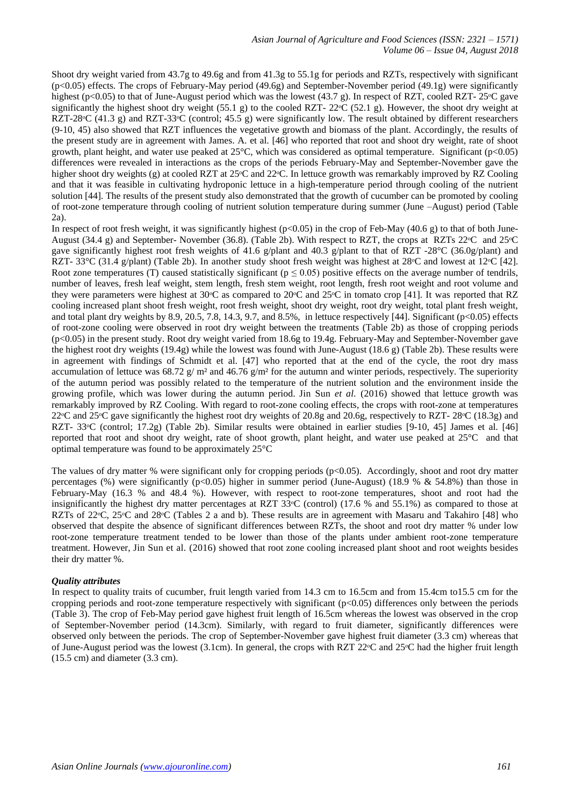Shoot dry weight varied from 43.7g to 49.6g and from 41.3g to 55.1g for periods and RZTs, respectively with significant (p<0.05) effects. The crops of February-May period (49.6g) and September-November period (49.1g) were significantly highest (p<0.05) to that of June-August period which was the lowest (43.7 g). In respect of RZT, cooled RZT- 25 $\degree$ C gave significantly the highest shoot dry weight (55.1 g) to the cooled RZT-  $22^{\circ}C$  (52.1 g). However, the shoot dry weight at RZT-28°C (41.3 g) and RZT-33°C (control; 45.5 g) were significantly low. The result obtained by different researchers (9-10, 45) also showed that RZT influences the vegetative growth and biomass of the plant. Accordingly, the results of the present study are in agreement with James. A. et al. [46] who reported that root and shoot dry weight, rate of shoot growth, plant height, and water use peaked at 25°C, which was considered as optimal temperature. Significant (p<0.05) differences were revealed in interactions as the crops of the periods February-May and September-November gave the higher shoot dry weights (g) at cooled RZT at 25 $\degree$ C and 22 $\degree$ C. In lettuce growth was remarkably improved by RZ Cooling and that it was feasible in cultivating hydroponic lettuce in a high-temperature period through cooling of the nutrient solution [44]. The results of the present study also demonstrated that the growth of cucumber can be promoted by cooling of root-zone temperature through cooling of nutrient solution temperature during summer (June –August) period (Table 2a).

In respect of root fresh weight, it was significantly highest ( $p<0.05$ ) in the crop of Feb-May (40.6 g) to that of both June-August (34.4 g) and September-November (36.8). (Table 2b). With respect to RZT, the crops at RZTs 22 °C and 25 °C gave significantly highest root fresh weights of 41.6 g/plant and 40.3 g/plant to that of RZT -28°C (36.0g/plant) and RZT- 33°C (31.4 g/plant) (Table 2b). In another study shoot fresh weight was highest at 28°C and lowest at 12°C [42]. Root zone temperatures (T) caused statistically significant ( $p \le 0.05$ ) positive effects on the average number of tendrils, number of leaves, fresh leaf weight, stem length, fresh stem weight, root length, fresh root weight and root volume and they were parameters were highest at 30<sup>o</sup>C as compared to 20<sup>o</sup>C and 25<sup>o</sup>C in tomato crop [41]. It was reported that RZ cooling increased plant shoot fresh weight, root fresh weight, shoot dry weight, root dry weight, total plant fresh weight, and total plant dry weights by 8.9, 20.5, 7.8, 14.3, 9.7, and 8.5%, in lettuce respectively [44]. Significant (p<0.05) effects of root-zone cooling were observed in root dry weight between the treatments (Table 2b) as those of cropping periods (p<0.05) in the present study. Root dry weight varied from 18.6g to 19.4g. February-May and September-November gave the highest root dry weights (19.4g) while the lowest was found with June-August (18.6 g) (Table 2b). These results were in agreement with findings of Schmidt et al. [47] who reported that at the end of the cycle, the root dry mass accumulation of lettuce was  $68.72$  g/m<sup>2</sup> and  $46.76$  g/m<sup>2</sup> for the autumn and winter periods, respectively. The superiority of the autumn period was possibly related to the temperature of the nutrient solution and the environment inside the growing profile, which was lower during the autumn period. Jin Sun *et al.* (2016) showed that lettuce growth was remarkably improved by RZ Cooling. With regard to root-zone cooling effects, the crops with root-zone at temperatures 22 °C and 25 °C gave significantly the highest root dry weights of 20.8g and 20.6g, respectively to RZT- 28 °C (18.3g) and RZT- 33<sup>o</sup>C (control; 17.2g) (Table 2b). Similar results were obtained in earlier studies [9-10, 45] James et al. [46] reported that root and shoot dry weight, rate of shoot growth, plant height, and water use peaked at 25°C and that optimal temperature was found to be approximately 25°C

The values of dry matter % were significant only for cropping periods (p<0.05). Accordingly, shoot and root dry matter percentages (%) were significantly (p<0.05) higher in summer period (June-August) (18.9 % & 54.8%) than those in February-May (16.3 % and 48.4 %). However, with respect to root-zone temperatures, shoot and root had the insignificantly the highest dry matter percentages at RZT  $33^{\circ}$ C (control) (17.6 % and 55.1%) as compared to those at RZTs of 22 °C, 25 °C and 28 °C (Tables 2 a and b). These results are in agreement with Masaru and Takahiro [48] who observed that despite the absence of significant differences between RZTs, the shoot and root dry matter % under low root-zone temperature treatment tended to be lower than those of the plants under ambient root-zone temperature treatment. However, Jin Sun et al. (2016) showed that root zone cooling increased plant shoot and root weights besides their dry matter %.

## *Quality attributes*

In respect to quality traits of cucumber, fruit length varied from 14.3 cm to 16.5cm and from 15.4cm to15.5 cm for the cropping periods and root-zone temperature respectively with significant (p<0.05) differences only between the periods (Table 3). The crop of Feb-May period gave highest fruit length of 16.5cm whereas the lowest was observed in the crop of September-November period (14.3cm). Similarly, with regard to fruit diameter, significantly differences were observed only between the periods. The crop of September-November gave highest fruit diameter (3.3 cm) whereas that of June-August period was the lowest (3.1cm). In general, the crops with RZT 22 $\degree$ C and 25 $\degree$ C had the higher fruit length (15.5 cm) and diameter (3.3 cm).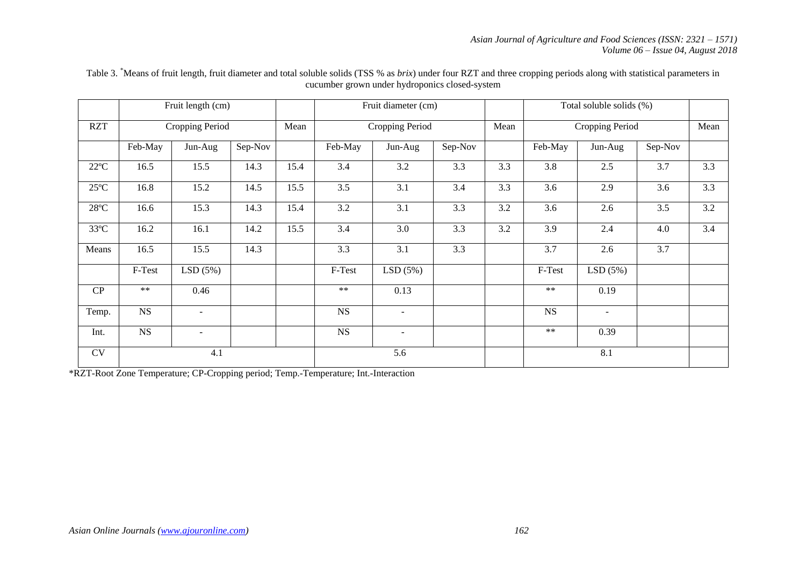|                |             | Fruit length (cm)        |         |      |             | Fruit diameter (cm) |         |      | Total soluble solids (%) |                 |         |     |
|----------------|-------------|--------------------------|---------|------|-------------|---------------------|---------|------|--------------------------|-----------------|---------|-----|
| <b>RZT</b>     |             | Cropping Period          |         | Mean |             | Cropping Period     |         | Mean |                          | Cropping Period |         |     |
|                | Feb-May     | Jun-Aug                  | Sep-Nov |      | Feb-May     | Jun-Aug             | Sep-Nov |      | Feb-May                  | Jun-Aug         | Sep-Nov |     |
| $22^{\circ}C$  | 16.5        | 15.5                     | 14.3    | 15.4 | 3.4         | 3.2                 | 3.3     | 3.3  | 3.8                      | 2.5             | 3.7     | 3.3 |
| $25^{\circ}$ C | 16.8        | 15.2                     | 14.5    | 15.5 | 3.5         | 3.1                 | 3.4     | 3.3  | 3.6                      | 2.9             | 3.6     | 3.3 |
| $28^{\circ}C$  | 16.6        | 15.3                     | 14.3    | 15.4 | 3.2         | 3.1                 | 3.3     | 3.2  | 3.6                      | 2.6             | 3.5     | 3.2 |
| $33^{\circ}C$  | 16.2        | 16.1                     | 14.2    | 15.5 | 3.4         | 3.0                 | 3.3     | 3.2  | 3.9                      | 2.4             | 4.0     | 3.4 |
| Means          | 16.5        | 15.5                     | 14.3    |      | 3.3         | 3.1                 | 3.3     |      | 3.7                      | 2.6             | 3.7     |     |
|                | F-Test      | LSD(5%)                  |         |      | F-Test      | LSD(5%)             |         |      | F-Test                   | LSD(5%)         |         |     |
| CP             | $**$        | 0.46                     |         |      | $**$        | 0.13                |         |      | $**$                     | 0.19            |         |     |
| Temp.          | NS          | $\overline{\phantom{a}}$ |         |      | $_{\rm NS}$ | $\sim$              |         |      | <b>NS</b>                | $\sim$          |         |     |
| Int.           | $_{\rm NS}$ | $\sim$                   |         |      | $_{\rm NS}$ | $\sim$              |         |      | $**$                     | 0.39            |         |     |
| <b>CV</b>      |             | 4.1                      |         |      |             | 5.6                 |         |      |                          | 8.1             |         |     |

Table 3. \*Means of fruit length, fruit diameter and total soluble solids (TSS % as *brix*) under four RZT and three cropping periods along with statistical parameters in cucumber grown under hydroponics closed-system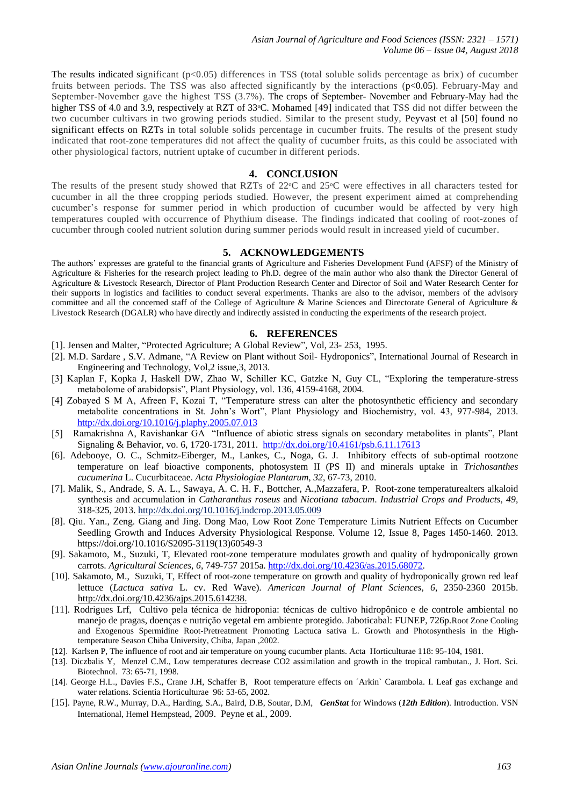*Asian Journal of Agriculture and Food Sciences (ISSN: 2321 – 1571) Volume 06 – Issue 04, August 2018*

The results indicated significant  $(p<0.05)$  differences in TSS (total soluble solids percentage as brix) of cucumber fruits between periods. The TSS was also affected significantly by the interactions (p<0.05). February-May and September-November gave the highest TSS (3.7%). The crops of September- November and February-May had the higher TSS of 4.0 and 3.9, respectively at RZT of 33<sup>o</sup>C. Mohamed [49] indicated that TSS did not differ between the two cucumber cultivars in two growing periods studied. Similar to the present study, Peyvast et al [50] found no significant effects on RZTs in total soluble solids percentage in cucumber fruits. The results of the present study indicated that root-zone temperatures did not affect the quality of cucumber fruits, as this could be associated with other physiological factors, nutrient uptake of cucumber in different periods.

#### **4. CONCLUSION**

The results of the present study showed that RZTs of 22<sup>o</sup>C and 25<sup>o</sup>C were effectives in all characters tested for cucumber in all the three cropping periods studied. However, the present experiment aimed at comprehending cucumber's response for summer period in which production of cucumber would be affected by very high temperatures coupled with occurrence of Phythium disease. The findings indicated that cooling of root-zones of cucumber through cooled nutrient solution during summer periods would result in increased yield of cucumber.

# **5. ACKNOWLEDGEMENTS**

The authors' expresses are grateful to the financial grants of Agriculture and Fisheries Development Fund (AFSF) of the Ministry of Agriculture & Fisheries for the research project leading to Ph.D. degree of the main author who also thank the Director General of Agriculture & Livestock Research, Director of Plant Production Research Center and Director of Soil and Water Research Center for their supports in logistics and facilities to conduct several experiments. Thanks are also to the advisor, members of the advisory committee and all the concerned staff of the College of Agriculture & Marine Sciences and Directorate General of Agriculture & Livestock Research (DGALR) who have directly and indirectly assisted in conducting the experiments of the research project.

#### **6. REFERENCES**

- [1]. Jensen and Malter, "Protected Agriculture; A Global Review", Vol, 23- 253, 1995.
- [2]. M.D. Sardare , S.V. Admane, "A Review on Plant without Soil- Hydroponics", International Journal of Research in Engineering and Technology, Vol,2 issue,3, 2013.
- [3] Kaplan F, Kopka J, Haskell DW, Zhao W, Schiller KC, Gatzke N, Guy CL, "Exploring the temperature-stress metabolome of arabidopsis", Plant Physiology*,* vol. 136, 4159-4168, 2004.
- [4] Zobayed S M A, Afreen F, Kozai T, "Temperature stress can alter the photosynthetic efficiency and secondary metabolite concentrations in St. John's Wort", Plant Physiology and Biochemistry, vol. 43, 977-984, 2013. <http://dx.doi.org/10.1016/j.plaphy.2005.07.013>
- [5] Ramakrishna A, Ravishankar GA "Influence of abiotic stress signals on secondary metabolites in plants", Plant Signaling & Behavior, vo. 6, 1720-1731, 2011.<http://dx.doi.org/10.4161/psb.6.11.17613>
- [6]. Adebooye, O. C., Schmitz-Eiberger, M., Lankes, C., Noga, G. J. Inhibitory effects of sub-optimal rootzone temperature on leaf bioactive components, photosystem II (PS II) and minerals uptake in *Trichosanthes cucumerina* L. Cucurbitaceae. *Acta Physiologiae Plantarum, 32*, 67-73, 2010.
- [7]. Malik, S., Andrade, S. A. L., Sawaya, A. C. H. F., Bottcher, A.,Mazzafera, P. Root-zone temperaturealters alkaloid synthesis and accumulation in *Catharanthus roseus* and *Nicotiana tabacum*. *Industrial Crops and Products, 49*, 318-325, 2013.<http://dx.doi.org/10.1016/j.indcrop.2013.05.009>
- [8]. Qiu. Yan., Zeng. Giang and Jing. Dong Mao, Low Root Zone Temperature Limits Nutrient Effects on Cucumber Seedling Growth and Induces Adversity Physiological Response. [Volume 12, Issue 8,](https://www.sciencedirect.com/science/journal/20953119/12/8) Pages 1450-1460. 2013. [https://doi.org/10.1016/S2095-3119\(13\)60549-3](https://doi.org/10.1016/S2095-3119(13)60549-3)
- [9]. Sakamoto, M., Suzuki, T, Elevated root-zone temperature modulates growth and quality of hydroponically grown carrots. *Agricultural Sciences, 6*, 749-757 2015a. [http://dx.doi.org/10.4236/as.2015.68072.](http://dx.doi.org/10.4236/as.2015.68072)
- [10]. Sakamoto, M., Suzuki, T, Effect of root-zone temperature on growth and quality of hydroponically grown red leaf lettuce (*Lactuca sativa* L. cv. Red Wave). *American Journal of Plant Sciences, 6*, 2350-2360 2015b. [http://dx.doi.org/10.4236/ajps.2015.614238.](http://dx.doi.org/10.4236/ajps.2015.614238)
- [11]. Rodrigues Lrf, Cultivo pela técnica de hidroponia: técnicas de cultivo hidropônico e de controle ambiental no manejo de pragas, doenças e nutrição vegetal em ambiente protegido. Jaboticabal: FUNEP, 726p.Root Zone Cooling and Exogenous Spermidine Root-Pretreatment Promoting Lactuca sativa L. Growth and Photosynthesis in the Hightemperature Season Chiba University, Chiba, Japan ,2002.
- [12]. Karlsen P, The influence of root and air temperature on young cucumber plants. Acta Horticulturae 118: 95-104, 1981.
- [13]. Diczbalis Y, Menzel C.M., Low temperatures decrease CO2 assimilation and growth in the tropical rambutan., J. Hort. Sci. Biotechnol. 73: 65-71, 1998.
- [14]. George H.L., Davies F.S., Crane J.H, Schaffer B, Root temperature effects on ´Arkin` Carambola. I. Leaf gas exchange and water relations. Scientia Horticulturae 96: 53-65, 2002.
- [15]. Payne, R.W., Murray, D.A., Harding, S.A., Baird, D.B, Soutar, D.M, *GenStat* for Windows (*12th Edition*). Introduction. VSN International, Hemel Hempstead, 2009. Peyne et al., 2009.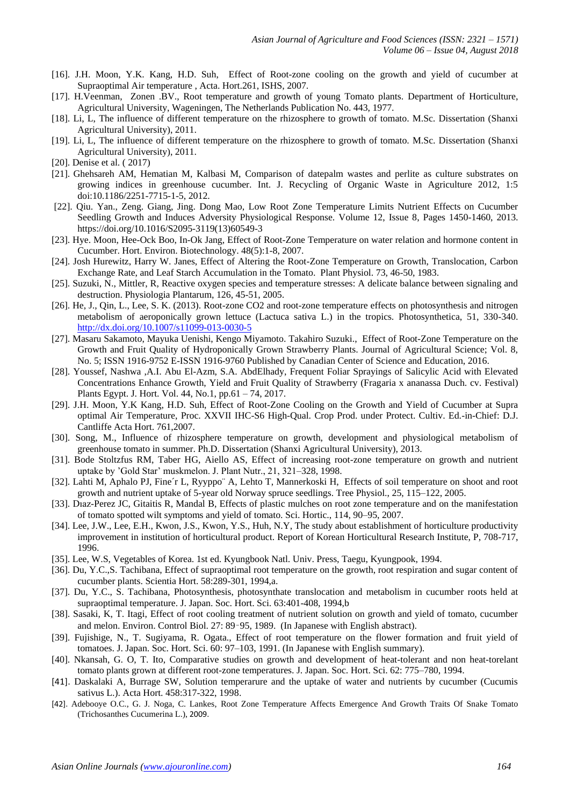- [16]. J.H. Moon, Y.K. Kang, H.D. Suh, Effect of Root-zone cooling on the growth and yield of cucumber at Supraoptimal Air temperature , Acta. Hort.261, ISHS, 2007.
- [17]. H.Veenman, Zonen .BV., Root temperature and growth of young Tomato plants. Department of Horticulture, Agricultural University, Wageningen, The Netherlands Publication No. 443, 1977.
- [18]. Li, L, The influence of different temperature on the rhizosphere to growth of tomato. M.Sc. Dissertation (Shanxi Agricultural University), 2011.
- [19]. Li, L, The influence of different temperature on the rhizosphere to growth of tomato. M.Sc. Dissertation (Shanxi Agricultural University), 2011.
- [20]. Denise et al. (2017)
- [21]. Ghehsareh AM, Hematian M, Kalbasi M, Comparison of datepalm wastes and perlite as culture substrates on growing indices in greenhouse cucumber. Int. J. Recycling of Organic Waste in Agriculture 2012, 1:5 doi:10.1186/2251-7715-1-5, 2012.
- [22]. Qiu. Yan., Zeng. Giang, Jing. Dong Mao, Low Root Zone Temperature Limits Nutrient Effects on Cucumber Seedling Growth and Induces Adversity Physiological Response. [Volume 12, Issue 8,](https://www.sciencedirect.com/science/journal/20953119/12/8) Pages 1450-1460, 2013. [https://doi.org/10.1016/S2095-3119\(13\)60549-3](https://doi.org/10.1016/S2095-3119(13)60549-3)
- [23]. Hye. Moon, Hee-Ock Boo, In-Ok Jang, Effect of Root-Zone Temperature on water relation and hormone content in Cucumber. Hort. Environ. Biotechnology. 48(5):1-8, 2007.
- [24]. Josh Hurewitz, Harry W. Janes, Effect of Altering the Root-Zone Temperature on Growth, Translocation, Carbon Exchange Rate, and Leaf Starch Accumulation in the Tomato. Plant Physiol. 73, 46-50, 1983.
- [25]. Suzuki, N., Mittler, R, Reactive oxygen species and temperature stresses: A delicate balance between signaling and destruction. Physiologia Plantarum, 126, 45-51, 2005.
- [26]. He, J., Qin, L., Lee, S. K. (2013). Root-zone CO2 and root-zone temperature effects on photosynthesis and nitrogen metabolism of aeroponically grown lettuce (Lactuca sativa L.) in the tropics. Photosynthetica, 51, 330-340. <http://dx.doi.org/10.1007/s11099-013-0030-5>
- [27]. Masaru Sakamoto, Mayuka Uenishi, Kengo Miyamoto. Takahiro Suzuki., Effect of Root-Zone Temperature on the Growth and Fruit Quality of Hydroponically Grown Strawberry Plants. Journal of Agricultural Science; Vol. 8, No. 5; ISSN 1916-9752 E-ISSN 1916-9760 Published by Canadian Center of Science and Education, 2016.
- [28]. Youssef, Nashwa ,A.I. Abu El-Azm, S.A. AbdElhady, Frequent Foliar Sprayings of Salicylic Acid with Elevated Concentrations Enhance Growth, Yield and Fruit Quality of Strawberry (Fragaria x ananassa Duch. cv. Festival) Plants Egypt. J. Hort. Vol. 44, No.1, pp.61 – 74, 2017.
- [29]. J.H. Moon, Y.K Kang, H.D. Suh, Effect of Root-Zone Cooling on the Growth and Yield of Cucumber at Supra optimal Air Temperature, Proc. XXVII IHC-S6 High-Qual. Crop Prod. under Protect. Cultiv. Ed.-in-Chief: D.J. Cantliffe Acta Hort. 761,2007.
- [30]. Song, M., Influence of rhizosphere temperature on growth, development and physiological metabolism of greenhouse tomato in summer. Ph.D. Dissertation (Shanxi Agricultural University), 2013.
- [31]. Bode Stoltzfus RM, Taber HG, Aiello AS, Effect of increasing root-zone temperature on growth and nutrient uptake by 'Gold Star' muskmelon. J. Plant Nutr., 21, 321–328, 1998.
- [32]. Lahti M, Aphalo PJ, Fine´r L, Ryyppo¨ A, Lehto T, Mannerkoski H, Effects of soil temperature on shoot and root growth and nutrient uptake of 5-year old Norway spruce seedlings. Tree Physiol., 25, 115–122, 2005.
- [33]. Dıaz-Perez JC, Gitaitis R, Mandal B, Effects of plastic mulches on root zone temperature and on the manifestation of tomato spotted wilt symptoms and yield of tomato. Sci. Hortic., 114, 90–95, 2007.
- [34]. Lee, J.W., Lee, E.H., Kwon, J.S., Kwon, Y.S., Huh, N.Y, The study about establishment of horticulture productivity improvement in institution of horticultural product. Report of Korean Horticultural Research Institute, P, 708-717, 1996.
- [35]. Lee, W.S, Vegetables of Korea. 1st ed. Kyungbook Natl. Univ. Press, Taegu, Kyungpook, 1994.
- [36]. Du, Y.C.,S. Tachibana, Effect of supraoptimal root temperature on the growth, root respiration and sugar content of cucumber plants. Scientia Hort. 58:289-301, 1994,a.
- [37]. Du, Y.C., S. Tachibana, Photosynthesis, photosynthate translocation and metabolism in cucumber roots held at supraoptimal temperature. J. Japan. Soc. Hort. Sci. 63:401-408, 1994,b
- [38]. Sasaki, K, T. Itagi, Effect of root cooling treatment of nutrient solution on growth and yield of tomato, cucumber and melon. Environ. Control Biol. 27: 89–95, 1989. (In Japanese with English abstract).
- [39]. Fujishige, N., T. Sugiyama, R. Ogata., Effect of root temperature on the flower formation and fruit yield of tomatoes. J. Japan. Soc. Hort. Sci. 60: 97–103, 1991. (In Japanese with English summary).
- [40]. Nkansah, G. O, T. Ito, Comparative studies on growth and development of heat-tolerant and non heat-torelant tomato plants grown at different root-zone temperatures. J. Japan. Soc. Hort. Sci. 62: 775–780, 1994.
- [41]. Daskalaki A, Burrage SW, Solution temperarure and the uptake of water and nutrients by cucumber (Cucumis sativus L.). Acta Hort. 458:317-322, 1998.
- [42]. Adebooye O.C., G. J. Noga, C. Lankes, Root Zone Temperature Affects Emergence And Growth Traits Of Snake Tomato (Trichosanthes Cucumerina L.), 2009.